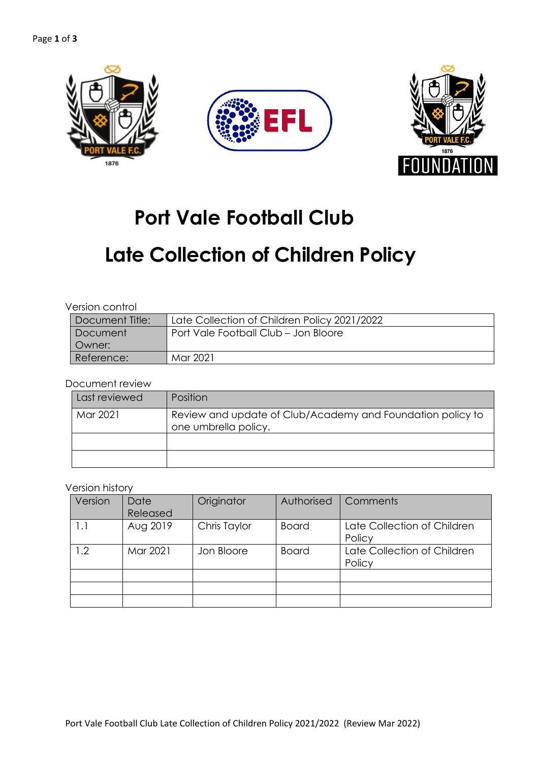

# **Port Vale Football Club**

# **Late Collection of Children Policy**

| 'Document Title: | Late Collection of Children Policy 2021/2022 |
|------------------|----------------------------------------------|
| Document         | Port Vale Football Club - Jon Bloore         |
| Owner:           |                                              |
| Reference:       | Mar 2021                                     |

Document review

| Last reviewed | Position                                                                           |
|---------------|------------------------------------------------------------------------------------|
| Mar 2021      | Review and update of Club/Academy and Foundation policy to<br>one umbrella policy. |
|               |                                                                                    |
|               |                                                                                    |

#### Version history

| Version | Date     | Originator   | Authorised   | Comments                    |
|---------|----------|--------------|--------------|-----------------------------|
|         | Released |              |              |                             |
| 1.1     | Aug 2019 | Chris Taylor | <b>Board</b> | Late Collection of Children |
|         |          |              |              | Policy                      |
| 1.2     | Mar 2021 | Jon Bloore   | <b>Board</b> | Late Collection of Children |
|         |          |              |              | Policy                      |
|         |          |              |              |                             |
|         |          |              |              |                             |
|         |          |              |              |                             |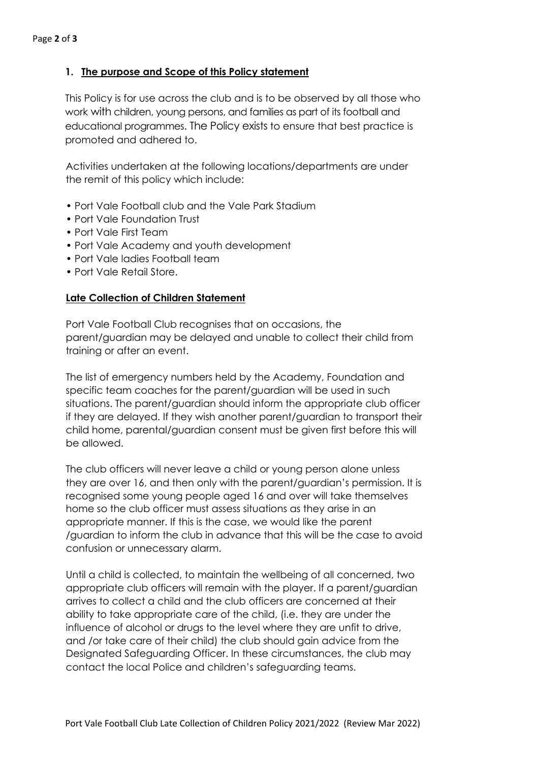# **1. The purpose and Scope of this Policy statement**

This Policy is for use across the club and is to be observed by all those who work with children, young persons, and families as part of its football and educational programmes. The Policy exists to ensure that best practice is promoted and adhered to.

Activities undertaken at the following locations/departments are under the remit of this policy which include:

- Port Vale Football club and the Vale Park Stadium
- Port Vale Foundation Trust
- Port Vale First Team
- Port Vale Academy and youth development
- Port Vale ladies Football team
- Port Vale Retail Store.

# **Late Collection of Children Statement**

Port Vale Football Club recognises that on occasions, the parent/guardian may be delayed and unable to collect their child from training or after an event.

The list of emergency numbers held by the Academy, Foundation and specific team coaches for the parent/guardian will be used in such situations. The parent/guardian should inform the appropriate club officer if they are delayed. If they wish another parent/guardian to transport their child home, parental/guardian consent must be given first before this will be allowed.

The club officers will never leave a child or young person alone unless they are over 16, and then only with the parent/guardian's permission. It is recognised some young people aged 16 and over will take themselves home so the club officer must assess situations as they arise in an appropriate manner. If this is the case, we would like the parent /guardian to inform the club in advance that this will be the case to avoid confusion or unnecessary alarm.

Until a child is collected, to maintain the wellbeing of all concerned, two appropriate club officers will remain with the player. If a parent/guardian arrives to collect a child and the club officers are concerned at their ability to take appropriate care of the child, (i.e. they are under the influence of alcohol or drugs to the level where they are unfit to drive, and /or take care of their child) the club should gain advice from the Designated Safeguarding Officer. In these circumstances, the club may contact the local Police and children's safeguarding teams.